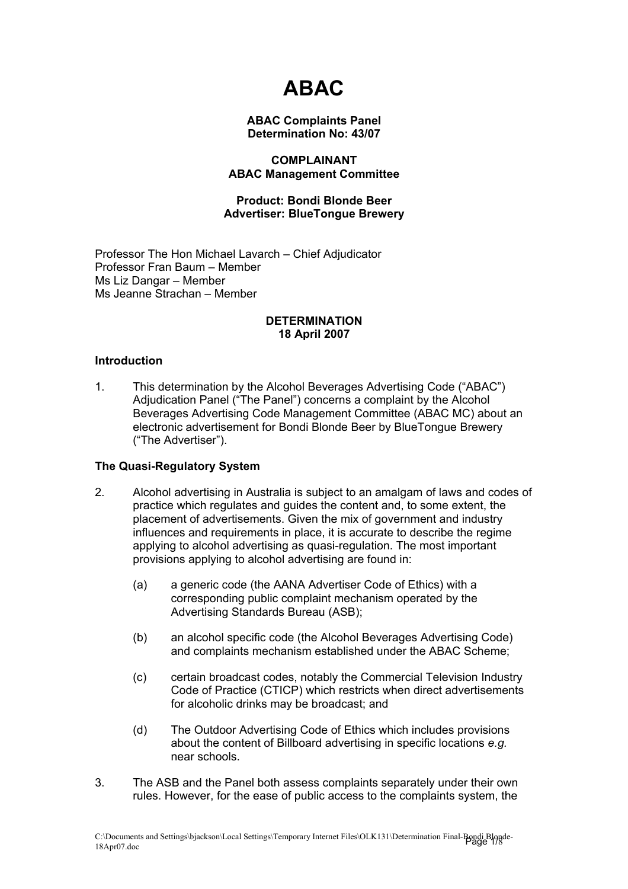# **ABAC**

## **ABAC Complaints Panel Determination No: 43/07**

# **COMPLAINANT ABAC Management Committee**

## **Product: Bondi Blonde Beer Advertiser: BlueTongue Brewery**

Professor The Hon Michael Lavarch – Chief Adjudicator Professor Fran Baum – Member Ms Liz Dangar – Member Ms Jeanne Strachan – Member

## **DETERMINATION 18 April 2007**

## **Introduction**

1. This determination by the Alcohol Beverages Advertising Code ("ABAC") Adjudication Panel ("The Panel") concerns a complaint by the Alcohol Beverages Advertising Code Management Committee (ABAC MC) about an electronic advertisement for Bondi Blonde Beer by BlueTongue Brewery ("The Advertiser").

## **The Quasi-Regulatory System**

- 2. Alcohol advertising in Australia is subject to an amalgam of laws and codes of practice which regulates and guides the content and, to some extent, the placement of advertisements. Given the mix of government and industry influences and requirements in place, it is accurate to describe the regime applying to alcohol advertising as quasi-regulation. The most important provisions applying to alcohol advertising are found in:
	- (a) a generic code (the AANA Advertiser Code of Ethics) with a corresponding public complaint mechanism operated by the Advertising Standards Bureau (ASB);
	- (b) an alcohol specific code (the Alcohol Beverages Advertising Code) and complaints mechanism established under the ABAC Scheme;
	- (c) certain broadcast codes, notably the Commercial Television Industry Code of Practice (CTICP) which restricts when direct advertisements for alcoholic drinks may be broadcast; and
	- (d) The Outdoor Advertising Code of Ethics which includes provisions about the content of Billboard advertising in specific locations *e.g.* near schools.
- 3. The ASB and the Panel both assess complaints separately under their own rules. However, for the ease of public access to the complaints system, the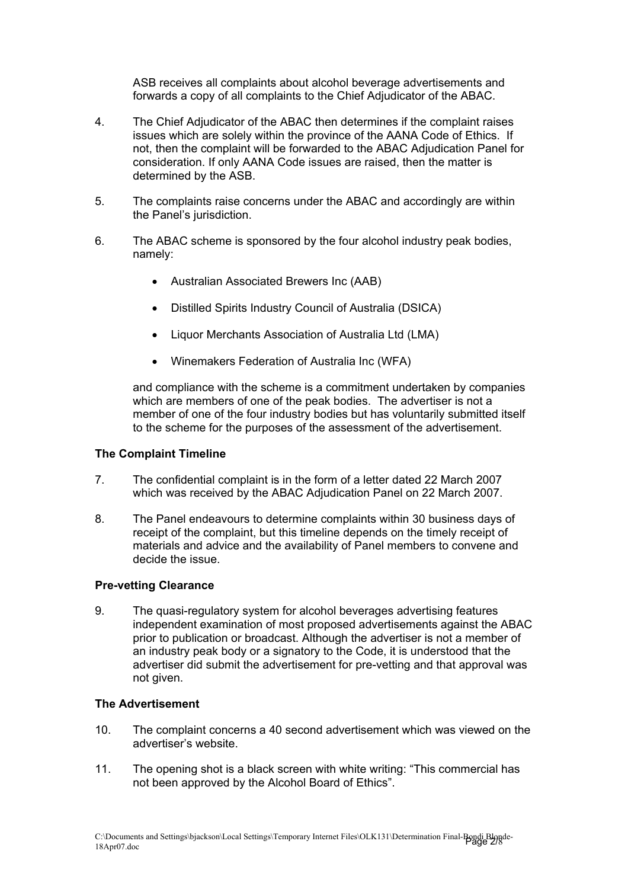ASB receives all complaints about alcohol beverage advertisements and forwards a copy of all complaints to the Chief Adjudicator of the ABAC.

- 4. The Chief Adjudicator of the ABAC then determines if the complaint raises issues which are solely within the province of the AANA Code of Ethics. If not, then the complaint will be forwarded to the ABAC Adjudication Panel for consideration. If only AANA Code issues are raised, then the matter is determined by the ASB.
- 5. The complaints raise concerns under the ABAC and accordingly are within the Panel's jurisdiction.
- 6. The ABAC scheme is sponsored by the four alcohol industry peak bodies, namely:
	- Australian Associated Brewers Inc (AAB)
	- Distilled Spirits Industry Council of Australia (DSICA)
	- Liquor Merchants Association of Australia Ltd (LMA)
	- Winemakers Federation of Australia Inc (WFA)

and compliance with the scheme is a commitment undertaken by companies which are members of one of the peak bodies. The advertiser is not a member of one of the four industry bodies but has voluntarily submitted itself to the scheme for the purposes of the assessment of the advertisement.

## **The Complaint Timeline**

- 7. The confidential complaint is in the form of a letter dated 22 March 2007 which was received by the ABAC Adjudication Panel on 22 March 2007.
- 8. The Panel endeavours to determine complaints within 30 business days of receipt of the complaint, but this timeline depends on the timely receipt of materials and advice and the availability of Panel members to convene and decide the issue.

## **Pre-vetting Clearance**

9. The quasi-regulatory system for alcohol beverages advertising features independent examination of most proposed advertisements against the ABAC prior to publication or broadcast. Although the advertiser is not a member of an industry peak body or a signatory to the Code, it is understood that the advertiser did submit the advertisement for pre-vetting and that approval was not given.

#### **The Advertisement**

- 10. The complaint concerns a 40 second advertisement which was viewed on the advertiser's website.
- 11. The opening shot is a black screen with white writing: "This commercial has not been approved by the Alcohol Board of Ethics".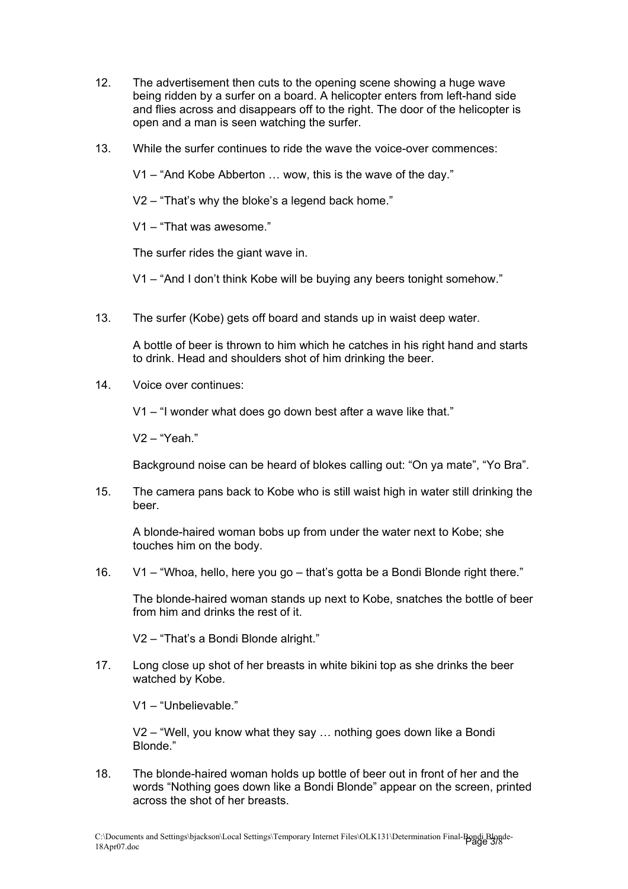- 12. The advertisement then cuts to the opening scene showing a huge wave being ridden by a surfer on a board. A helicopter enters from left-hand side and flies across and disappears off to the right. The door of the helicopter is open and a man is seen watching the surfer.
- 13. While the surfer continues to ride the wave the voice-over commences:

V1 – "And Kobe Abberton … wow, this is the wave of the day."

V2 – "That's why the bloke's a legend back home."

V1 – "That was awesome."

The surfer rides the giant wave in.

V1 – "And I don't think Kobe will be buying any beers tonight somehow."

13. The surfer (Kobe) gets off board and stands up in waist deep water.

A bottle of beer is thrown to him which he catches in his right hand and starts to drink. Head and shoulders shot of him drinking the beer.

14. Voice over continues:

V1 – "I wonder what does go down best after a wave like that."

V2 – "Yeah."

Background noise can be heard of blokes calling out: "On ya mate", "Yo Bra".

15. The camera pans back to Kobe who is still waist high in water still drinking the beer.

A blonde-haired woman bobs up from under the water next to Kobe; she touches him on the body.

16. V1 – "Whoa, hello, here you go – that's gotta be a Bondi Blonde right there."

The blonde-haired woman stands up next to Kobe, snatches the bottle of beer from him and drinks the rest of it.

V2 – "That's a Bondi Blonde alright."

17. Long close up shot of her breasts in white bikini top as she drinks the beer watched by Kobe.

V1 – "Unbelievable."

V2 – "Well, you know what they say … nothing goes down like a Bondi Blonde."

18. The blonde-haired woman holds up bottle of beer out in front of her and the words "Nothing goes down like a Bondi Blonde" appear on the screen, printed across the shot of her breasts.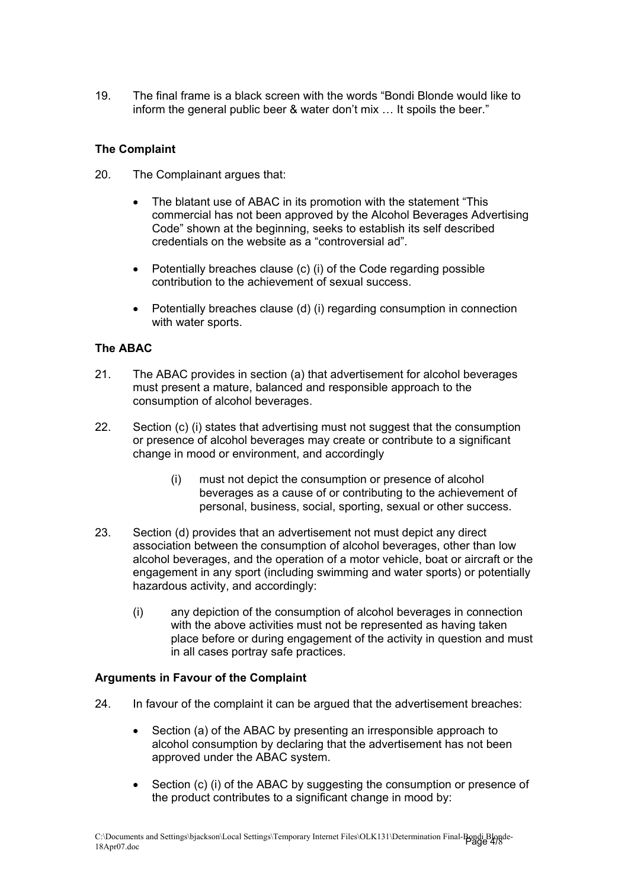19. The final frame is a black screen with the words "Bondi Blonde would like to inform the general public beer & water don't mix … It spoils the beer."

# **The Complaint**

- 20. The Complainant argues that:
	- The blatant use of ABAC in its promotion with the statement "This commercial has not been approved by the Alcohol Beverages Advertising Code" shown at the beginning, seeks to establish its self described credentials on the website as a "controversial ad".
	- Potentially breaches clause (c) (i) of the Code regarding possible contribution to the achievement of sexual success.
	- Potentially breaches clause (d) (i) regarding consumption in connection with water sports.

## **The ABAC**

- 21. The ABAC provides in section (a) that advertisement for alcohol beverages must present a mature, balanced and responsible approach to the consumption of alcohol beverages.
- 22. Section (c) (i) states that advertising must not suggest that the consumption or presence of alcohol beverages may create or contribute to a significant change in mood or environment, and accordingly
	- (i) must not depict the consumption or presence of alcohol beverages as a cause of or contributing to the achievement of personal, business, social, sporting, sexual or other success.
- 23. Section (d) provides that an advertisement not must depict any direct association between the consumption of alcohol beverages, other than low alcohol beverages, and the operation of a motor vehicle, boat or aircraft or the engagement in any sport (including swimming and water sports) or potentially hazardous activity, and accordingly:
	- (i) any depiction of the consumption of alcohol beverages in connection with the above activities must not be represented as having taken place before or during engagement of the activity in question and must in all cases portray safe practices.

## **Arguments in Favour of the Complaint**

- 24. In favour of the complaint it can be argued that the advertisement breaches:
	- Section (a) of the ABAC by presenting an irresponsible approach to alcohol consumption by declaring that the advertisement has not been approved under the ABAC system.
	- Section (c) (i) of the ABAC by suggesting the consumption or presence of the product contributes to a significant change in mood by: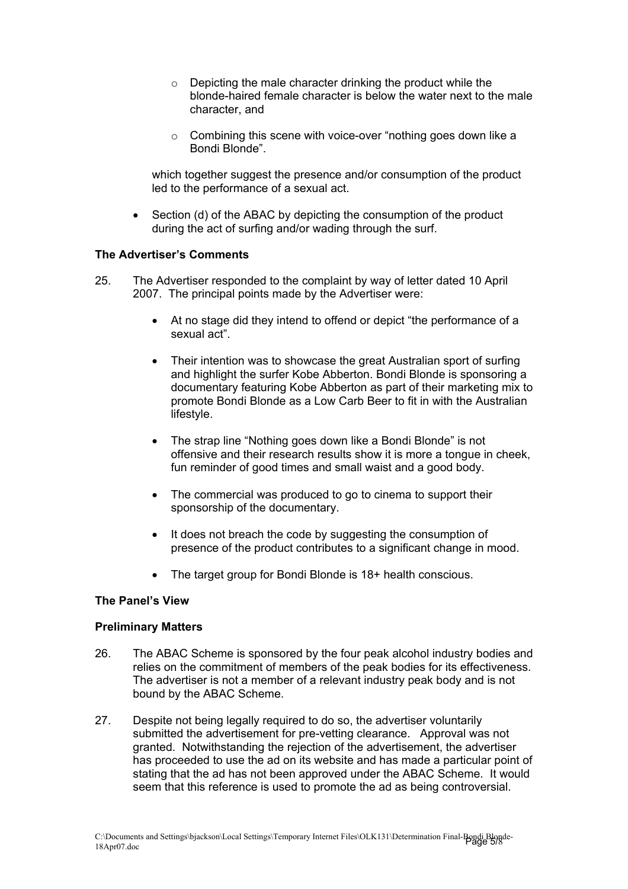- o Depicting the male character drinking the product while the blonde-haired female character is below the water next to the male character, and
- o Combining this scene with voice-over "nothing goes down like a Bondi Blonde".

which together suggest the presence and/or consumption of the product led to the performance of a sexual act.

• Section (d) of the ABAC by depicting the consumption of the product during the act of surfing and/or wading through the surf.

## **The Advertiser's Comments**

- 25. The Advertiser responded to the complaint by way of letter dated 10 April 2007. The principal points made by the Advertiser were:
	- At no stage did they intend to offend or depict "the performance of a sexual act".
	- Their intention was to showcase the great Australian sport of surfing and highlight the surfer Kobe Abberton. Bondi Blonde is sponsoring a documentary featuring Kobe Abberton as part of their marketing mix to promote Bondi Blonde as a Low Carb Beer to fit in with the Australian lifestyle.
	- The strap line "Nothing goes down like a Bondi Blonde" is not offensive and their research results show it is more a tongue in cheek, fun reminder of good times and small waist and a good body.
	- The commercial was produced to go to cinema to support their sponsorship of the documentary.
	- It does not breach the code by suggesting the consumption of presence of the product contributes to a significant change in mood.
	- The target group for Bondi Blonde is 18+ health conscious.

## **The Panel's View**

#### **Preliminary Matters**

- 26. The ABAC Scheme is sponsored by the four peak alcohol industry bodies and relies on the commitment of members of the peak bodies for its effectiveness. The advertiser is not a member of a relevant industry peak body and is not bound by the ABAC Scheme.
- 27. Despite not being legally required to do so, the advertiser voluntarily submitted the advertisement for pre-vetting clearance. Approval was not granted. Notwithstanding the rejection of the advertisement, the advertiser has proceeded to use the ad on its website and has made a particular point of stating that the ad has not been approved under the ABAC Scheme. It would seem that this reference is used to promote the ad as being controversial.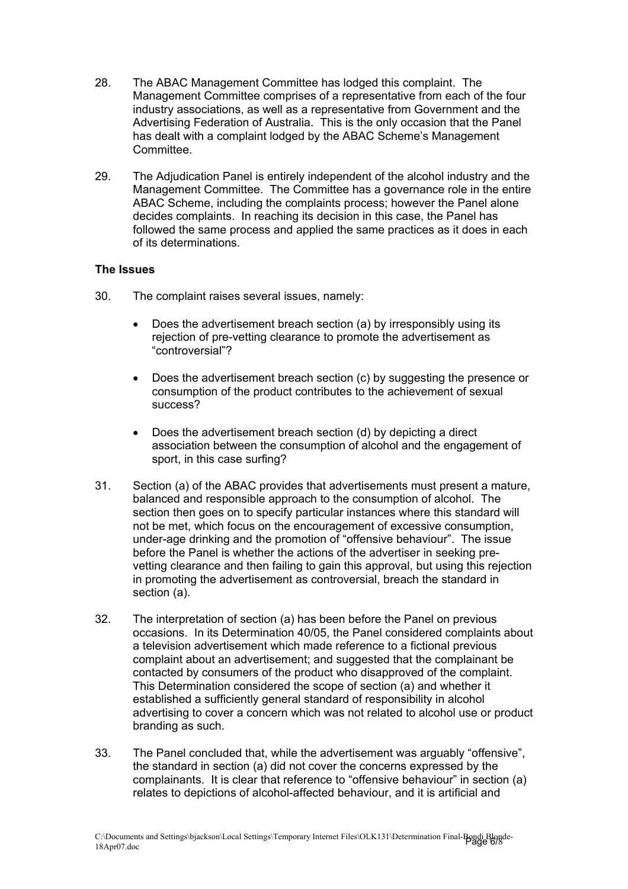- 28. The ABAC Management Committee has lodged this complaint. The Management Committee comprises of a representative from each of the four industry associations, as well as a representative from Government and the Advertising Federation of Australia. This is the only occasion that the Panel has dealt with a complaint lodged by the ABAC Scheme's Management Committee.
- 29. The Adjudication Panel is entirely independent of the alcohol industry and the Management Committee. The Committee has a governance role in the entire ABAC Scheme, including the complaints process; however the Panel alone decides complaints. In reaching its decision in this case, the Panel has followed the same process and applied the same practices as it does in each of its determinations.

## **The Issues**

- 30. The complaint raises several issues, namely:
	- Does the advertisement breach section (a) by irresponsibly using its rejection of pre-vetting clearance to promote the advertisement as "controversial"?
	- Does the advertisement breach section (c) by suggesting the presence or consumption of the product contributes to the achievement of sexual success?
	- Does the advertisement breach section (d) by depicting a direct association between the consumption of alcohol and the engagement of sport, in this case surfing?
- 31. Section (a) of the ABAC provides that advertisements must present a mature, balanced and responsible approach to the consumption of alcohol. The section then goes on to specify particular instances where this standard will not be met, which focus on the encouragement of excessive consumption, under-age drinking and the promotion of "offensive behaviour". The issue before the Panel is whether the actions of the advertiser in seeking prevetting clearance and then failing to gain this approval, but using this rejection in promoting the advertisement as controversial, breach the standard in section (a).
- 32. The interpretation of section (a) has been before the Panel on previous occasions. In its Determination 40/05, the Panel considered complaints about a television advertisement which made reference to a fictional previous complaint about an advertisement; and suggested that the complainant be contacted by consumers of the product who disapproved of the complaint. This Determination considered the scope of section (a) and whether it established a sufficiently general standard of responsibility in alcohol advertising to cover a concern which was not related to alcohol use or product branding as such.
- 33. The Panel concluded that, while the advertisement was arguably "offensive", the standard in section (a) did not cover the concerns expressed by the complainants. It is clear that reference to "offensive behaviour" in section (a) relates to depictions of alcohol-affected behaviour, and it is artificial and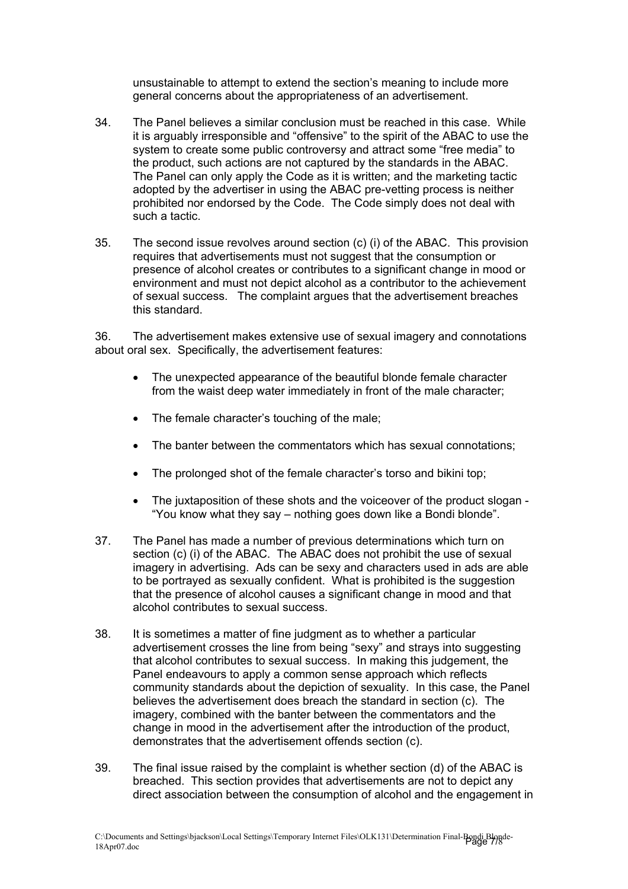unsustainable to attempt to extend the section's meaning to include more general concerns about the appropriateness of an advertisement.

- 34. The Panel believes a similar conclusion must be reached in this case. While it is arguably irresponsible and "offensive" to the spirit of the ABAC to use the system to create some public controversy and attract some "free media" to the product, such actions are not captured by the standards in the ABAC. The Panel can only apply the Code as it is written; and the marketing tactic adopted by the advertiser in using the ABAC pre-vetting process is neither prohibited nor endorsed by the Code. The Code simply does not deal with such a tactic.
- 35. The second issue revolves around section (c) (i) of the ABAC. This provision requires that advertisements must not suggest that the consumption or presence of alcohol creates or contributes to a significant change in mood or environment and must not depict alcohol as a contributor to the achievement of sexual success. The complaint argues that the advertisement breaches this standard.

36. The advertisement makes extensive use of sexual imagery and connotations about oral sex. Specifically, the advertisement features:

- The unexpected appearance of the beautiful blonde female character from the waist deep water immediately in front of the male character;
- The female character's touching of the male;
- The banter between the commentators which has sexual connotations;
- The prolonged shot of the female character's torso and bikini top;
- The juxtaposition of these shots and the voiceover of the product slogan "You know what they say – nothing goes down like a Bondi blonde".
- 37. The Panel has made a number of previous determinations which turn on section (c) (i) of the ABAC. The ABAC does not prohibit the use of sexual imagery in advertising. Ads can be sexy and characters used in ads are able to be portrayed as sexually confident. What is prohibited is the suggestion that the presence of alcohol causes a significant change in mood and that alcohol contributes to sexual success.
- 38. It is sometimes a matter of fine judgment as to whether a particular advertisement crosses the line from being "sexy" and strays into suggesting that alcohol contributes to sexual success. In making this judgement, the Panel endeavours to apply a common sense approach which reflects community standards about the depiction of sexuality. In this case, the Panel believes the advertisement does breach the standard in section (c). The imagery, combined with the banter between the commentators and the change in mood in the advertisement after the introduction of the product, demonstrates that the advertisement offends section (c).
- 39. The final issue raised by the complaint is whether section (d) of the ABAC is breached. This section provides that advertisements are not to depict any direct association between the consumption of alcohol and the engagement in